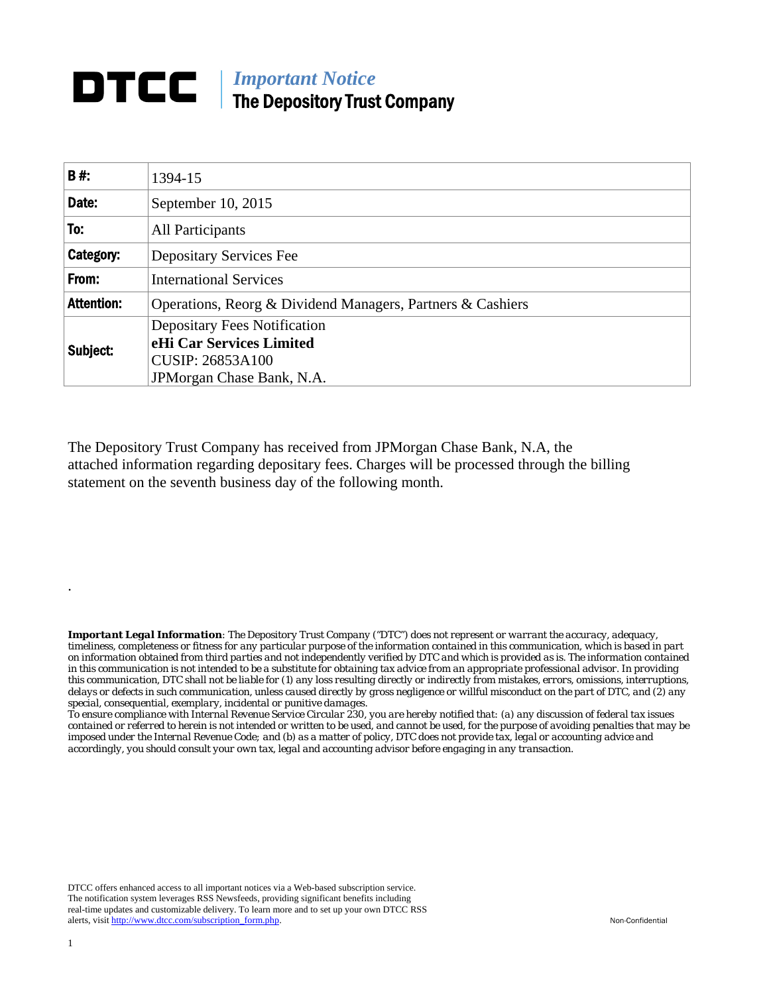## **DTCC** | *Important Notice* The Depository Trust Company

| <b>B#:</b>        | 1394-15                                                    |  |  |  |  |  |
|-------------------|------------------------------------------------------------|--|--|--|--|--|
| Date:             | September 10, 2015                                         |  |  |  |  |  |
| To:               | All Participants                                           |  |  |  |  |  |
| Category:         | <b>Depositary Services Fee</b>                             |  |  |  |  |  |
| From:             | <b>International Services</b>                              |  |  |  |  |  |
| <b>Attention:</b> | Operations, Reorg & Dividend Managers, Partners & Cashiers |  |  |  |  |  |
| Subject:          | <b>Depositary Fees Notification</b>                        |  |  |  |  |  |
|                   | eHi Car Services Limited                                   |  |  |  |  |  |
|                   | <b>CUSIP: 26853A100</b>                                    |  |  |  |  |  |
|                   | JPM organ Chase Bank, N.A.                                 |  |  |  |  |  |

The Depository Trust Company has received from JPMorgan Chase Bank, N.A, the attached information regarding depositary fees. Charges will be processed through the billing statement on the seventh business day of the following month.

*Important Legal Information: The Depository Trust Company ("DTC") does not represent or warrant the accuracy, adequacy, timeliness, completeness or fitness for any particular purpose of the information contained in this communication, which is based in part on information obtained from third parties and not independently verified by DTC and which is provided as is. The information contained in this communication is not intended to be a substitute for obtaining tax advice from an appropriate professional advisor. In providing this communication, DTC shall not be liable for (1) any loss resulting directly or indirectly from mistakes, errors, omissions, interruptions, delays or defects in such communication, unless caused directly by gross negligence or willful misconduct on the part of DTC, and (2) any special, consequential, exemplary, incidental or punitive damages.* 

*To ensure compliance with Internal Revenue Service Circular 230, you are hereby notified that: (a) any discussion of federal tax issues contained or referred to herein is not intended or written to be used, and cannot be used, for the purpose of avoiding penalties that may be imposed under the Internal Revenue Code; and (b) as a matter of policy, DTC does not provide tax, legal or accounting advice and accordingly, you should consult your own tax, legal and accounting advisor before engaging in any transaction.*

DTCC offers enhanced access to all important notices via a Web-based subscription service. The notification system leverages RSS Newsfeeds, providing significant benefits including real-time updates and customizable delivery. To learn more and to set up your own DTCC RSS alerts, visit http://www.dtcc.com/subscription\_form.php. Non-Confidential

.